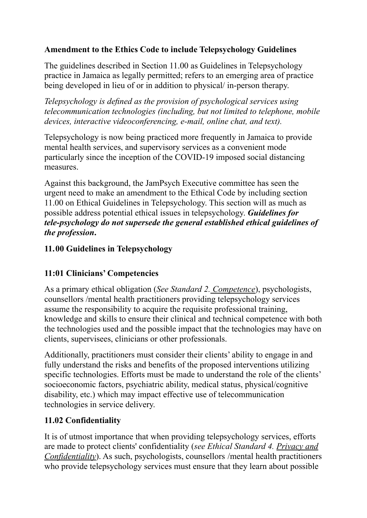# **Amendment to the Ethics Code to include Telepsychology Guidelines**

The guidelines described in Section 11.00 as Guidelines in Telepsychology practice in Jamaica as legally permitted; refers to an emerging area of practice being developed in lieu of or in addition to physical/ in-person therapy.

*Telepsychology is defined as the provision of psychological services using telecommunication technologies (including, but not limited to telephone, mobile devices, interactive videoconferencing, e-mail, online chat, and text).*

Telepsychology is now being practiced more frequently in Jamaica to provide mental health services, and supervisory services as a convenient mode particularly since the inception of the COVID-19 imposed social distancing measures.

Against this background, the JamPsych Executive committee has seen the urgent need to make an amendment to the Ethical Code by including section 11.00 on Ethical Guidelines in Telepsychology. This section will as much as possible address potential ethical issues in telepsychology. *Guidelines for tele-psychology do not supersede the general established ethical guidelines of the profession***.**

# **11.00 Guidelines in Telepsychology**

# **11:01 Clinicians' Competencies**

As a primary ethical obligation (*See Standard 2. Competence*), psychologists, counsellors /mental health practitioners providing telepsychology services assume the responsibility to acquire the requisite professional training, knowledge and skills to ensure their clinical and technical competence with both the technologies used and the possible impact that the technologies may have on clients, supervisees, clinicians or other professionals.

Additionally, practitioners must consider their clients' ability to engage in and fully understand the risks and benefits of the proposed interventions utilizing specific technologies. Efforts must be made to understand the role of the clients' socioeconomic factors, psychiatric ability, medical status, physical/cognitive disability, etc.) which may impact effective use of telecommunication technologies in service delivery.

# **11.02 Confidentiality**

It is of utmost importance that when providing telepsychology services, efforts are made to protect clients' confidentiality (*see Ethical Standard 4. Privacy and Confidentiality*). As such, psychologists, counsellors /mental health practitioners who provide telepsychology services must ensure that they learn about possible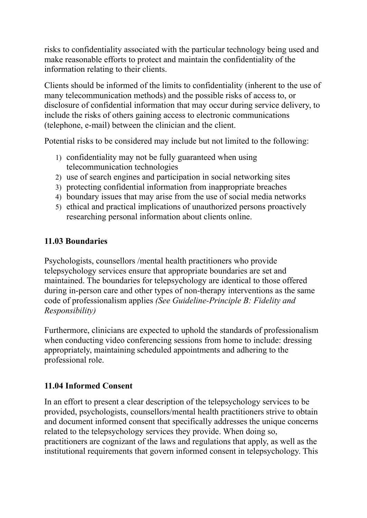risks to confidentiality associated with the particular technology being used and make reasonable efforts to protect and maintain the confidentiality of the information relating to their clients.

Clients should be informed of the limits to confidentiality (inherent to the use of many telecommunication methods) and the possible risks of access to, or disclosure of confidential information that may occur during service delivery, to include the risks of others gaining access to electronic communications (telephone, e-mail) between the clinician and the client.

Potential risks to be considered may include but not limited to the following:

- 1) confidentiality may not be fully guaranteed when using telecommunication technologies
- 2) use of search engines and participation in social networking sites
- 3) protecting confidential information from inappropriate breaches
- 4) boundary issues that may arise from the use of social media networks
- 5) ethical and practical implications of unauthorized persons proactively researching personal information about clients online.

#### **11.03 Boundaries**

Psychologists, counsellors /mental health practitioners who provide telepsychology services ensure that appropriate boundaries are set and maintained. The boundaries for telepsychology are identical to those offered during in-person care and other types of non-therapy interventions as the same code of professionalism applies *(See Guideline-Principle B: Fidelity and Responsibility)*

Furthermore, clinicians are expected to uphold the standards of professionalism when conducting video conferencing sessions from home to include: dressing appropriately, maintaining scheduled appointments and adhering to the professional role.

#### **11.04 Informed Consent**

In an effort to present a clear description of the telepsychology services to be provided, psychologists, counsellors/mental health practitioners strive to obtain and document informed consent that specifically addresses the unique concerns related to the telepsychology services they provide. When doing so, practitioners are cognizant of the laws and regulations that apply, as well as the institutional requirements that govern informed consent in telepsychology. This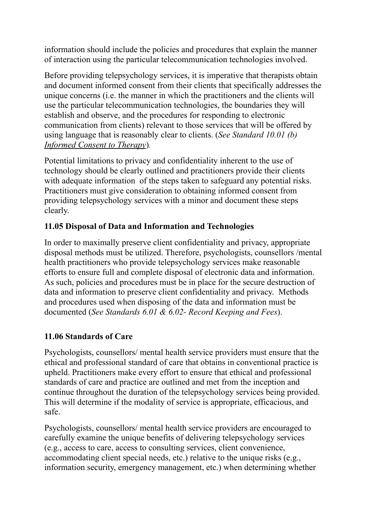information should include the policies and procedures that explain the manner of interaction using the particular telecommunication technologies involved.

Before providing telepsychology services, it is imperative that therapists obtain and document informed consent from their clients that specifically addresses the unique concerns (i.e. the manner in which the practitioners and the clients will use the particular telecommunication technologies, the boundaries they will establish and observe, and the procedures for responding to electronic communication from clients) relevant to those services that will be offered by using language that is reasonably clear to clients. (*See Standard 10.01 (b) Informed Consent to Therapy*).

Potential limitations to privacy and confidentiality inherent to the use of technology should be clearly outlined and practitioners provide their clients with adequate information of the steps taken to safeguard any potential risks. Practitioners must give consideration to obtaining informed consent from providing telepsychology services with a minor and document these steps clearly.

## **11.05 Disposal of Data and Information and Technologies**

In order to maximally preserve client confidentiality and privacy, appropriate disposal methods must be utilized. Therefore, psychologists, counsellors /mental health practitioners who provide telepsychology services make reasonable efforts to ensure full and complete disposal of electronic data and information. As such, policies and procedures must be in place for the secure destruction of data and information to preserve client confidentiality and privacy. Methods and procedures used when disposing of the data and information must be documented (*See Standards 6.01 & 6.02- Record Keeping and Fees*).

#### **11.06 Standards of Care**

Psychologists, counsellors/ mental health service providers must ensure that the ethical and professional standard of care that obtains in conventional practice is upheld. Practitioners make every effort to ensure that ethical and professional standards of care and practice are outlined and met from the inception and continue throughout the duration of the telepsychology services being provided. This will determine if the modality of service is appropriate, efficacious, and safe.

Psychologists, counsellors/ mental health service providers are encouraged to carefully examine the unique benefits of delivering telepsychology services (e.g., access to care, access to consulting services, client convenience, accommodating client special needs, etc.) relative to the unique risks (e.g., information security, emergency management, etc.) when determining whether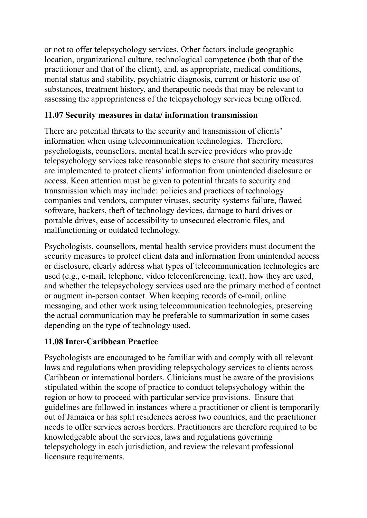or not to offer telepsychology services. Other factors include geographic location, organizational culture, technological competence (both that of the practitioner and that of the client), and, as appropriate, medical conditions, mental status and stability, psychiatric diagnosis, current or historic use of substances, treatment history, and therapeutic needs that may be relevant to assessing the appropriateness of the telepsychology services being offered.

## **11.07 Security measures in data/ information transmission**

There are potential threats to the security and transmission of clients' information when using telecommunication technologies. Therefore, psychologists, counsellors, mental health service providers who provide telepsychology services take reasonable steps to ensure that security measures are implemented to protect clients' information from unintended disclosure or access. Keen attention must be given to potential threats to security and transmission which may include: policies and practices of technology companies and vendors, computer viruses, security systems failure, flawed software, hackers, theft of technology devices, damage to hard drives or portable drives, ease of accessibility to unsecured electronic files, and malfunctioning or outdated technology.

Psychologists, counsellors, mental health service providers must document the security measures to protect client data and information from unintended access or disclosure, clearly address what types of telecommunication technologies are used (e.g., e-mail, telephone, video teleconferencing, text), how they are used, and whether the telepsychology services used are the primary method of contact or augment in-person contact. When keeping records of e-mail, online messaging, and other work using telecommunication technologies, preserving the actual communication may be preferable to summarization in some cases depending on the type of technology used.

# **11.08 Inter-Caribbean Practice**

Psychologists are encouraged to be familiar with and comply with all relevant laws and regulations when providing telepsychology services to clients across Caribbean or international borders. Clinicians must be aware of the provisions stipulated within the scope of practice to conduct telepsychology within the region or how to proceed with particular service provisions. Ensure that guidelines are followed in instances where a practitioner or client is temporarily out of Jamaica or has split residences across two countries, and the practitioner needs to offer services across borders. Practitioners are therefore required to be knowledgeable about the services, laws and regulations governing telepsychology in each jurisdiction, and review the relevant professional licensure requirements.